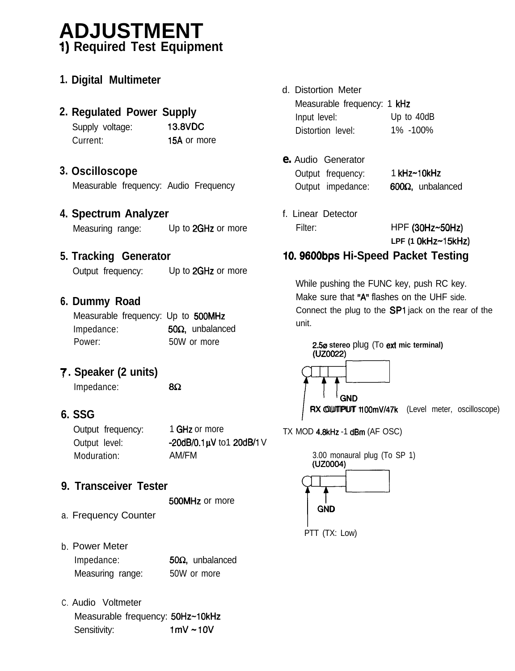# **ADJUSTMENT I) Required Test Equipment**

|  | 1. Digital Multimeter |
|--|-----------------------|
|--|-----------------------|

#### **2. Regulated Power Supply**

| Supply voltage: | 13.8VDC     |  |  |  |  |
|-----------------|-------------|--|--|--|--|
| Current:        | 15A or more |  |  |  |  |

#### **3. Oscilloscope**

Measurable frequency: Audio Frequency

#### **4. Spectrum Analyzer**

Measuring range: Up to 2GHz or more

#### **5. Tracking Generator**

Output frequency: Up to 2GHz or more

#### **6. Dummy Road**

| Measurable frequency: Up to 500MHz |  |                         |
|------------------------------------|--|-------------------------|
| Impedance:                         |  | $50\Omega$ , unbalanced |
| Power:                             |  | 50W or more             |

### **7, . Speaker (2 units)**

 $Impedance:$  8 $\Omega$ 

#### **6. SSG**

| Output frequency: | 1 GHz or more            |
|-------------------|--------------------------|
| Output level:     | -20dB/0.1µV to1 20dB/1 V |
| Moduration:       | AM/FM                    |

### **9. Transceiver Tester**

500MHz or more

- a. Frequency Counter
- b. Power Meter

| Impedance:       | $50\Omega$ , unbalanced |
|------------------|-------------------------|
| Measuring range: | 50W or more             |

C. Audio Voltmeter Measurable frequency: 50Hz~10kHz Sensitivity: 1mV ~ 10V

- d. Distortion Meter Measurable frequency: 1 kHz Input level: Up to 40dB Distortion level: 1% -100%
- **e.** Audio Generator Output frequency: 1 kHz~10kHz Output impedance:  $600\Omega$ , unbalanced
- f. Linear Detector Filter: HPF **(30Hz-50Hz) LPF (1 OkHz-1 5kHz)**

## **10.96OObps Hi-Speed Packet Testing**

While pushing the FUNC key, push RC key. Make sure that "A" flashes on the UHF side. Connect the plug to the SPl jack on the rear of the unit.



TX MOD 4.8kHz -1 dBm (AF OSC)

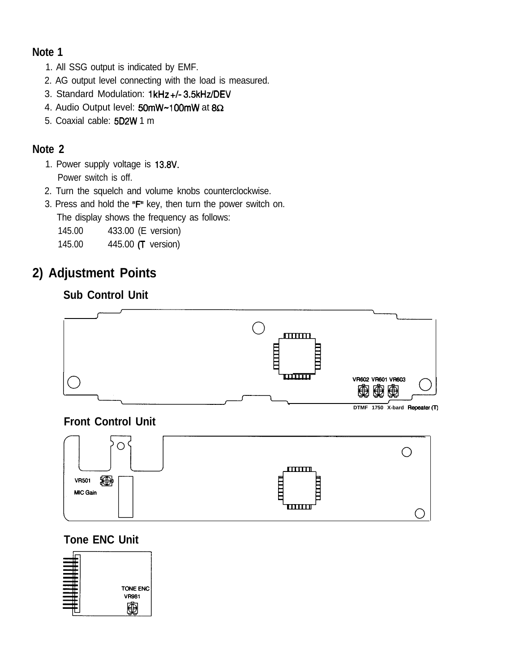#### **Note 1**

- 1. All SSG output is indicated by EMF.
- 2. AG output level connecting with the load is measured.
- 3. Standard Modulation: 1kHz +/- 3.5kHz/DEV
- 4. Audio Output level: 50mW~100mW at 8 $\Omega$
- 5. Coaxial cable: 5D2W 1 m

#### **Note 2**

- 1. Power supply voltage is 13.8V. Power switch is off.
- 2. Turn the squelch and volume knobs counterclockwise.
- 3. Press and hold the "F" key, then turn the power switch on. The display shows the frequency as follows:

145.00 433.00 (E version)

145.00 445.00 (T version)

# **2) Adjustment Points**

### **Sub Control Unit**



**DTMF 1750 X-bard Repeater** (T)

### **Front Control Unit**



### **Tone ENC Unit**

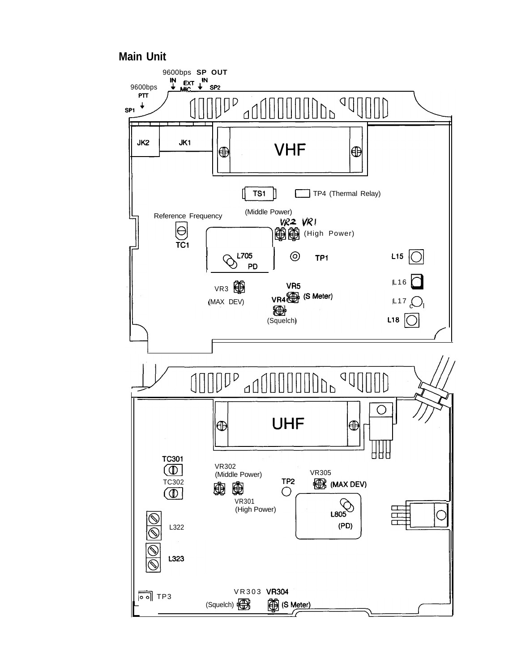#### **Main Unit**

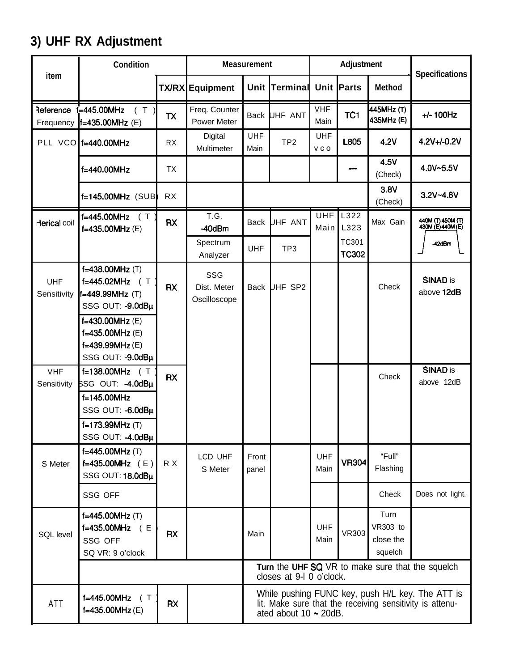# **3) UHF RX Adjustment**

|                               | <b>Condition</b>                                                                              |           | <b>Measurement</b>                  |                    |                             |                     | Adjustment            |                                                 |                                                                                                              |
|-------------------------------|-----------------------------------------------------------------------------------------------|-----------|-------------------------------------|--------------------|-----------------------------|---------------------|-----------------------|-------------------------------------------------|--------------------------------------------------------------------------------------------------------------|
| item                          |                                                                                               |           | <b>TX/RX</b> Equipment              |                    | Unit Terminal               |                     | Unit Parts            | <b>Method</b>                                   | <b>Specifications</b>                                                                                        |
| <b>Reference</b><br>Frequency | f=445.00MHz<br>(T)<br>f=435.00MHz (E)                                                         | <b>TX</b> | Freq. Counter<br><b>Power Meter</b> |                    | Back UHF ANT                | <b>VHF</b><br>Main  | TC1                   | 445MHz (T)<br>435MHz (E)                        | $+/- 100$ Hz                                                                                                 |
|                               | PLL VCO $f=440.00$ MHz                                                                        | <b>RX</b> | Digital<br>Multimeter               | <b>UHF</b><br>Main | TP <sub>2</sub>             | <b>UHF</b><br>v c o | L805                  | 4.2V                                            | 4.2V+/-0.2V                                                                                                  |
|                               | f=440.00MHz                                                                                   | ТX        |                                     |                    |                             |                     |                       | 4.5V<br>(Check)                                 | 4.0V~5.5V                                                                                                    |
|                               | f=145.00MHz (SUB)                                                                             | RX        |                                     |                    |                             |                     |                       | 3.8V<br>(Check)                                 | $3.2V - 4.8V$                                                                                                |
| Herical coil                  | f=445.00MHz ( T<br>f=435.00MHz (E)                                                            | <b>RX</b> | T.G.<br>$-40$ dBm                   | <b>Back</b>        | JHF ANT                     | <b>UHF</b><br>Main  | L322<br>L323          | Max Gain                                        | 440M (T) 450M (T)<br>43 <u>0M (E) 440M (</u> E)                                                              |
|                               |                                                                                               |           | Spectrum<br>Analyzer                | UHF                | TP <sub>3</sub>             |                     | TC301<br><b>TC302</b> |                                                 | 42dBm                                                                                                        |
| <b>UHF</b><br>Sensitivity     | $f=438.00$ MHz $(T)$<br>f=445.02MHz<br>$(\top$<br>f=449.99MHz (T)<br>SSG OUT: - 9.0dBµ        | <b>RX</b> | SSG<br>Dist. Meter<br>Oscilloscope  | <b>Back</b>        | <b>UHF SP2</b>              |                     |                       | Check                                           | <b>SINAD is</b><br>above 12dB                                                                                |
|                               | $f=430.00$ MHz $(E)$<br>f=435.00MHz (E)<br>f=439.99MHz (E)<br>SSG OUT: - 9.0dBu               |           |                                     |                    |                             |                     |                       |                                                 |                                                                                                              |
| <b>VHF</b><br>Sensitivity     | $f=138.00MHz$ (T<br>SSG OUT: -4.0dBµ<br>$f=145.00$ MHz<br>SSG OUT: -6.0dBµ<br>f=173.99MHz (T) | <b>RX</b> |                                     |                    |                             |                     |                       | Check                                           | <b>SINAD is</b><br>above 12dB                                                                                |
| S Meter                       | SSG OUT: -4.0dBµ<br>f=445.00MHz (T)<br>f=435.00MHz $(E)$<br>SSG OUT: 18.0dBµ                  | R X       | LCD UHF<br>S Meter                  | Front<br>panel     |                             | <b>UHF</b><br>Main  | <b>VR304</b>          | "Full"<br>Flashing                              |                                                                                                              |
|                               | SSG OFF                                                                                       |           |                                     |                    |                             |                     |                       | Check                                           | Does not light.                                                                                              |
| SQL level                     | $f=445.00MHz$ (T)<br>$f=435.00$ MHz $(E)$<br>SSG OFF<br>SQ VR: 9 o'clock                      | <b>RX</b> |                                     | Main               |                             | UHF<br>Main         | <b>VR303</b>          | Turn<br><b>VR303</b> to<br>close the<br>squelch |                                                                                                              |
|                               |                                                                                               |           |                                     |                    | closes at 9-I 0 o'clock.    |                     |                       |                                                 | Turn the UHF SQ VR to make sure that the squelch                                                             |
| ATT                           | $f=445.00$ MHz (T<br>$f=435.00MHz$ (E)                                                        | <b>RX</b> |                                     |                    | ated about $10 \sim 20$ dB. |                     |                       |                                                 | While pushing FUNC key, push H/L key. The ATT is<br>lit. Make sure that the receiving sensitivity is attenu- |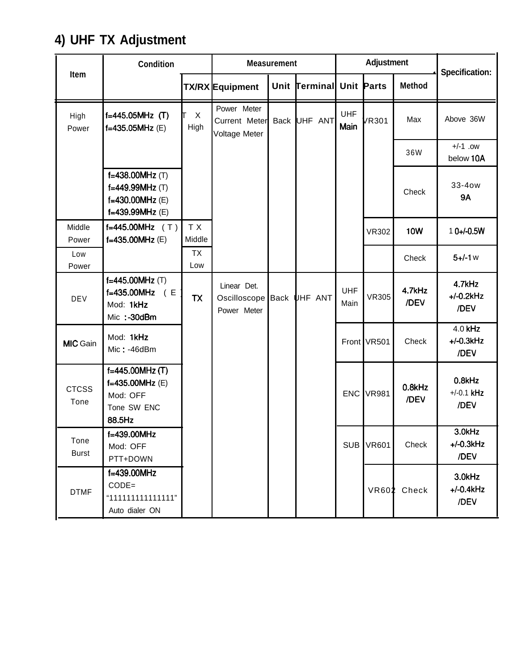# **4) UHF TX Adjustment**

|                      | <b>Condition</b>                                                           |                  |                                                 | Adjustment<br><b>Measurement</b> |                            |                    | <b>Specification:</b> |                |                                   |
|----------------------|----------------------------------------------------------------------------|------------------|-------------------------------------------------|----------------------------------|----------------------------|--------------------|-----------------------|----------------|-----------------------------------|
| <b>Item</b>          |                                                                            |                  | <b>TX/RX</b> Equipment                          | Unit                             | <b>Terminal Unit Parts</b> |                    |                       | <b>Method</b>  |                                   |
| High<br>Power        | f=445.05MHz (T)<br>f=435.05MHz (E)                                         | X<br>High        | Power Meter<br>Current Meter<br>Voltage Meter   |                                  | Back UHF ANT               | <b>UHF</b><br>Main | /R301                 | Max            | Above 36W                         |
|                      |                                                                            |                  |                                                 |                                  |                            |                    |                       | 36W            | $+/-1$ .ow<br>below 10A           |
|                      | f=438.00MHz (T)<br>f=449.99MHz (T)<br>f=430.00MHz (E)<br>f=439.99MHz (E)   |                  |                                                 |                                  |                            |                    |                       | Check          | 33-4ow<br><b>9A</b>               |
| Middle<br>Power      | f=445.00MHz $(T)$<br>f=435.00MHz (E)                                       | T X<br>Middle    |                                                 |                                  |                            |                    | VR302                 | <b>10W</b>     | $10+/-0.5W$                       |
| Low<br>Power         |                                                                            | <b>TX</b><br>Low |                                                 |                                  |                            |                    |                       | Check          | $5 + 1$ w                         |
| <b>DEV</b>           | f=445.00MHz (T)<br>f=435.00MHz (E<br>Mod: 1kHz<br>Mic: -30dBm              | <b>TX</b>        | Linear Det.<br>Oscilloscope Back<br>Power Meter |                                  | UHF ANT                    | <b>UHF</b><br>Main | <b>VR305</b>          | 4.7kHz<br>/DEV | 4.7kHz<br>$+/-0.2$ kHz<br>/DEV    |
| <b>MIC</b> Gain      | Mod: 1kHz<br>$Mic: -46dBm$                                                 |                  |                                                 |                                  |                            |                    | Front VR501           | Check          | $4.0$ kHz<br>$+/-0.3$ kHz<br>/DEV |
| <b>CTCSS</b><br>Tone | f=445.00MHz (T)<br>$f=435.00$ MHz (E)<br>Mod: OFF<br>Tone SW ENC<br>88.5Hz |                  |                                                 |                                  |                            | ENC I              | <b>VR981</b>          | 0.8kHz<br>/DEV | 0.8kHz<br>$+/-0.1$ kHz<br>/DEV    |
| Tone<br><b>Burst</b> | f=439.00MHz<br>Mod: OFF<br>PTT+DOWN                                        |                  |                                                 |                                  |                            | <b>SUB</b>         | <b>VR601</b>          | Check          | 3.0kHz<br>$+/-0.3$ k $Hz$<br>/DEV |
| <b>DTMF</b>          | f=439.00MHz<br>$CODE =$<br>"111111111111111"<br>Auto dialer ON             |                  |                                                 |                                  |                            |                    | <b>VR602</b>          | Check          | 3.0kHz<br>$+/-0.4$ kHz<br>/DEV    |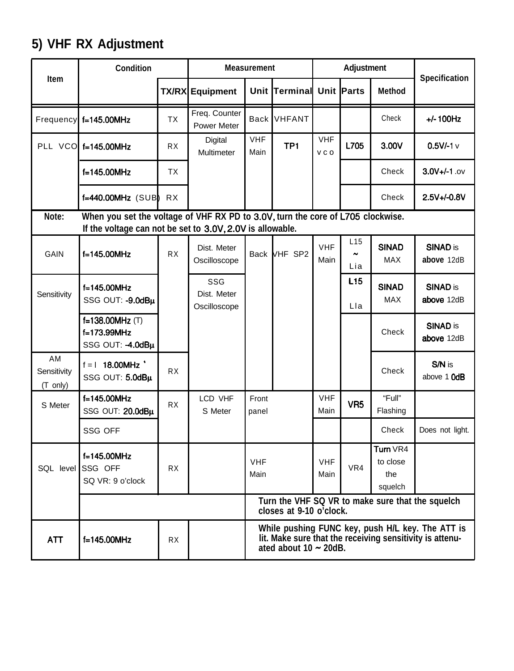# **5) VHF RX Adjustment**

|                               | <b>Condition</b>                                                                                                                             |           |                                     | <b>Measurement</b> |                             |                    | <b>Adjustment</b>                    |                                        |                                                                                                              |
|-------------------------------|----------------------------------------------------------------------------------------------------------------------------------------------|-----------|-------------------------------------|--------------------|-----------------------------|--------------------|--------------------------------------|----------------------------------------|--------------------------------------------------------------------------------------------------------------|
| Item                          |                                                                                                                                              |           | <b>TX/RX Equipment</b>              |                    | Unit Terminal Unit Parts    |                    |                                      | <b>Method</b>                          | Specification                                                                                                |
| Frequency                     | f=145.00MHz                                                                                                                                  | <b>TX</b> | Freq. Counter<br><b>Power Meter</b> | <b>Back</b>        | <b>VHFANT</b>               |                    |                                      | Check                                  | $+/- 100$ Hz                                                                                                 |
|                               | PLL VCO f=145.00MHz                                                                                                                          | RX        | Digital<br>Multimeter               | <b>VHF</b><br>Main | TP <sub>1</sub>             | <b>VHF</b><br>VCO  | L705                                 | 3.00V                                  | $0.5V/-1$ v                                                                                                  |
|                               | f=145.00MHz                                                                                                                                  | <b>TX</b> |                                     |                    |                             |                    |                                      | Check                                  | $3.0V +/-1.0V$                                                                                               |
|                               | $f=440.00MHz$ (SUB)                                                                                                                          | <b>RX</b> |                                     |                    |                             |                    |                                      | Check                                  | 2.5V+/-0.8V                                                                                                  |
| Note:                         | When you set the voltage of VHF RX PD to 3.0V, turn the core of L705 clockwise.<br>If the voltage can not be set to 3.0V, 2.0V is allowable. |           |                                     |                    |                             |                    |                                      |                                        |                                                                                                              |
| GAIN                          | $f=145.00$ MHz                                                                                                                               | <b>RX</b> | Dist. Meter<br>Oscilloscope         |                    | Back VHF SP2                | <b>VHF</b><br>Main | L <sub>15</sub><br>$\tilde{}$<br>Lia | <b>SINAD</b><br><b>MAX</b>             | <b>SINAD is</b><br>above 12dB                                                                                |
| Sensitivity                   | f=145.00MHz<br>SSG OUT: - 9.0dBµ                                                                                                             |           | SSG<br>Dist. Meter<br>Oscilloscope  |                    |                             |                    | L <sub>15</sub><br>Lla               | <b>SINAD</b><br>MAX                    | <b>SINAD is</b><br>above 12dB                                                                                |
|                               | f=138.00MHz (T)<br>f=173.99MHz<br>SSG OUT: -4.0dBµ                                                                                           |           |                                     |                    |                             |                    |                                      | Check                                  | <b>SINAD is</b><br>above 12dB                                                                                |
| AM<br>Sensitivity<br>(T only) | $f = 1$ 18.00MHz '<br>SSG OUT: 5.0dBµ                                                                                                        | <b>RX</b> |                                     |                    |                             |                    |                                      | Check                                  | S/N is<br>above 1 OdB                                                                                        |
| S Meter                       | $f=145.00$ MHz<br>SSG OUT: 20.0dBµ                                                                                                           | <b>RX</b> | LCD VHF<br>S Meter                  | Front<br>panel     |                             | <b>VHF</b><br>Main | VR <sub>5</sub>                      | "Full"<br>Flashing                     |                                                                                                              |
|                               | SSG OFF                                                                                                                                      |           |                                     |                    |                             |                    |                                      | Check                                  | Does not light.                                                                                              |
| SQL level SSG OFF             | f=145.00MHz<br>SQ VR: 9 o'clock                                                                                                              | RX        |                                     | <b>VHF</b><br>Main |                             | <b>VHF</b><br>Main | VR4                                  | Turn VR4<br>to close<br>the<br>squelch |                                                                                                              |
|                               |                                                                                                                                              |           |                                     |                    | closes at 9-10 o'clock.     |                    |                                      |                                        | Turn the VHF SQ VR to make sure that the squelch                                                             |
| ATT                           | f=145.00MHz                                                                                                                                  | RX        |                                     |                    | ated about $10 \sim 20$ dB. |                    |                                      |                                        | While pushing FUNC key, push H/L key. The ATT is<br>lit. Make sure that the receiving sensitivity is attenu- |